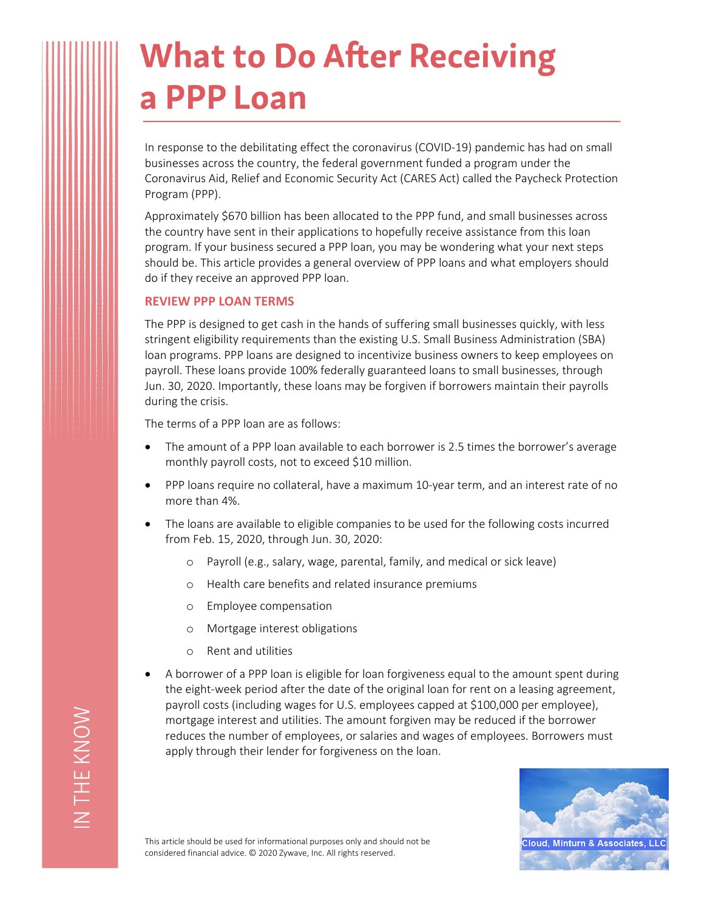# **What to Do After Receiving** a PPP Loan

In response to the debilitating effect the coronavirus (COVID-19) pandemic has had on small businesses across the country, the federal government funded a program under the Coronavirus Aid, Relief and Economic Security Act (CARES Act) called the Paycheck Protection Program (PPP).

Approximately \$670 billion has been allocated to the PPP fund, and small businesses across the country have sent in their applications to hopefully receive assistance from this loan program. If your business secured a PPP loan, you may be wondering what your next steps should be. This article provides a general overview of PPP loans and what employers should do if they receive an approved PPP loan.

#### **REVIEW PPP LOAN TERMS**

The PPP is designed to get cash in the hands of suffering small businesses quickly, with less stringent eligibility requirements than the existing U.S. Small Business Administration (SBA) loan programs. PPP loans are designed to incentivize business owners to keep employees on payroll. These loans provide 100% federally guaranteed loans to small businesses, through Jun. 30, 2020. Importantly, these loans may be forgiven if borrowers maintain their payrolls during the crisis.

The terms of a PPP loan are as follows:

- The amount of a PPP loan available to each borrower is 2.5 times the borrower's average monthly payroll costs, not to exceed \$10 million.
- PPP loans require no collateral, have a maximum 10-year term, and an interest rate of no more than 4%.
- The loans are available to eligible companies to be used for the following costs incurred from Feb. 15, 2020, through Jun. 30, 2020:
	- o Payroll (e.g., salary, wage, parental, family, and medical or sick leave)
	- o Health care benefits and related insurance premiums
	- o Employee compensation
	- o Mortgage interest obligations
	- o Rent and utilities
- A borrower of a PPP loan is eligible for loan forgiveness equal to the amount spent during the eight-week period after the date of the original loan for rent on a leasing agreement, payroll costs (including wages for U.S. employees capped at \$100,000 per employee), mortgage interest and utilities. The amount forgiven may be reduced if the borrower reduces the number of employees, or salaries and wages of employees. Borrowers must apply through their lender for forgiveness on the loan.



This article should be used for informational purposes only and should not be considered financial advice. © 2020 Zywave, Inc. All rights reserved.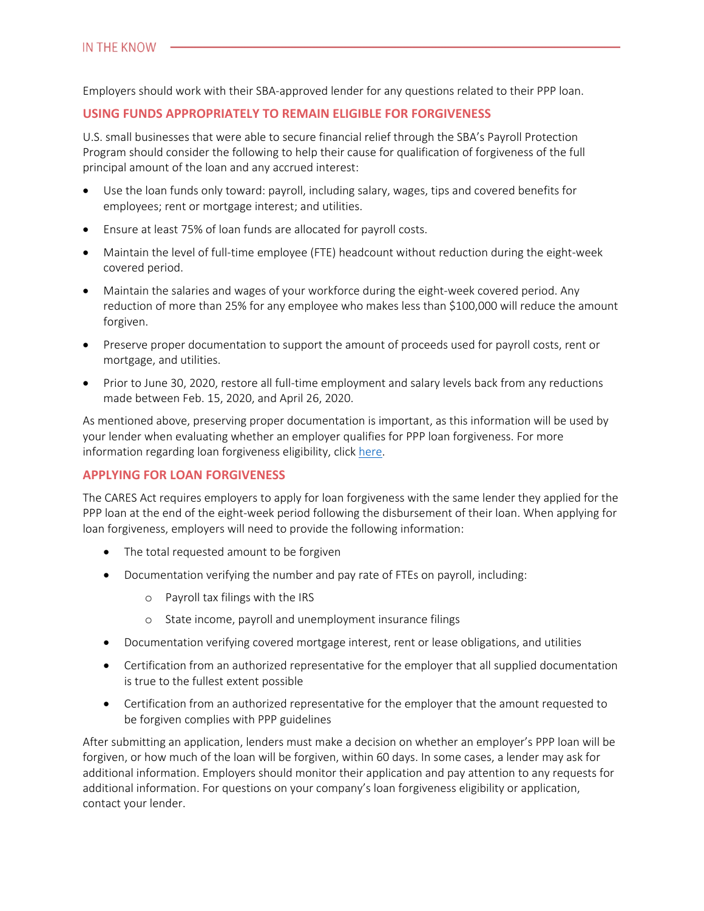Employers should work with their SBA-approved lender for any questions related to their PPP loan.

### **USING FUNDS APPROPRIATELY TO REMAIN ELIGIBLE FOR FORGIVENESS**

U.S. small businesses that were able to secure financial relief through the SBA's Payroll Protection Program should consider the following to help their cause for qualification of forgiveness of the full principal amount of the loan and any accrued interest:

- Use the loan funds only toward: payroll, including salary, wages, tips and covered benefits for employees; rent or mortgage interest; and utilities.
- Ensure at least 75% of loan funds are allocated for payroll costs.
- Maintain the level of full-time employee (FTE) headcount without reduction during the eight-week covered period.
- Maintain the salaries and wages of your workforce during the eight-week covered period. Any reduction of more than 25% for any employee who makes less than \$100,000 will reduce the amount forgiven.
- Preserve proper documentation to support the amount of proceeds used for payroll costs, rent or mortgage, and utilities.
- Prior to June 30, 2020, restore all full-time employment and salary levels back from any reductions made between Feb. 15, 2020, and April 26, 2020.

As mentioned above, preserving proper documentation is important, as this information will be used by your lender when evaluating whether an employer qualifies for PPP loan forgiveness. For more information regarding loan forgiveness eligibility, click [here](https://www.sba.gov/funding-programs/loans/coronavirus-relief-options/paycheck-protection-program#section-header-7).

#### **APPLYING FOR LOAN FORGIVENESS**

The CARES Act requires employers to apply for loan forgiveness with the same lender they applied for the PPP loan at the end of the eight-week period following the disbursement of their loan. When applying for loan forgiveness, employers will need to provide the following information:

- The total requested amount to be forgiven
- Documentation verifying the number and pay rate of FTEs on payroll, including:
	- o Payroll tax filings with the IRS
	- o State income, payroll and unemployment insurance filings
- Documentation verifying covered mortgage interest, rent or lease obligations, and utilities
- Certification from an authorized representative for the employer that all supplied documentation is true to the fullest extent possible
- Certification from an authorized representative for the employer that the amount requested to be forgiven complies with PPP guidelines

After submitting an application, lenders must make a decision on whether an employer's PPP loan will be forgiven, or how much of the loan will be forgiven, within 60 days. In some cases, a lender may ask for additional information. Employers should monitor their application and pay attention to any requests for additional information. For questions on your company's loan forgiveness eligibility or application, contact your lender.